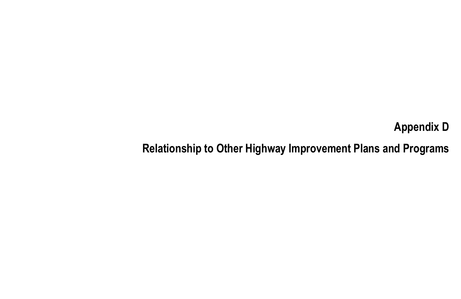# Appendix DRelationship to Other Highway Improvement Plans and Programs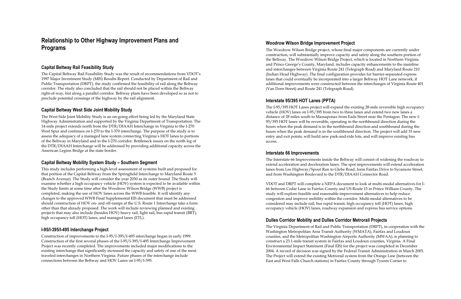# **Relationship to Other Highway Improvement Plans and Programs**

#### **Capital Beltway Rail Feasibility Study**

The Capital Beltway Rail Feasibility Study was the result of recommendations from VDOT's 1997 Major Investment Study (MIS) Results Report. Conducted by Department of Rail and Public Transportation (DRPT), the study confirmed the feasibility of rail along the Beltway corridor. The study also concluded that the rail should not be placed within the Beltway right-of-way, but along a parallel corridor. Beltway plans have been developed so as not to preclude potential crossings of the highway by the rail alignment.

#### **Capital Beltway West Side Joint Mobility Study**

The West Side Joint Mobility Study is an on-going effort being led by the Maryland State Highway Administration and supported by the Virginia Department of Transportation. The 14-mile project extends north from the DTR/DIAAH Interchange in Virginia to the I-270 West Spur and continues on I-270 to the I-370 interchange. The purpose of the study is to assess the adequacy of a managed lane system connecting Virginia's HOT lanes to portions of the Beltway in Maryland and to the I-270 corridor. Bottleneck issues on the north leg of the DTR/DIAAH Interchange will be addressed by providing additional capacity across the American Legion Bridge at the state border.

# **Capital Beltway Mobility System Study – Southern Segment**

This study includes performing a high-level assessment of systems built and proposed for that portion of the Capital Beltway from the Springfield Interchange to Maryland Route 5 (Branch Avenue). The Study will consider the year 2030 as its outer bound. The Study will examine whether a high occupancy vehicle (HOV) system is expected to be available within the Study limits at some time after the Woodrow Wilson Bridge (WWB) project is completed, making the use of HOV lanes across the WWB feasible. It will identify any changes to the approved WWB Final Supplemental EIS document that must be addressed should construction of HOV on- and off-ramps at the U.S. Route 1 Interchange take a form other than that already proposed. The work will include reviewing planned and existing projects that may also include (besides HOV) heavy rail, light rail, bus rapid transit (BRT), high occupancy toll (HOT) lanes, and managed lanes (ETL).

#### **I-95/I-395/I-495 Interchange Project**

Construction of improvements to the I-95/I-395/I-495 interchange began in early 1999. Construction of the first several phases of the I-95/I-395/I-495 Interchange Improvement Project was recently completed. The improvements included major modifications to the existing interchange that significantly increased the capacity and safety of one of the most traveled interchanges in Northern Virginia. Future phases of the interchange include connections between the Beltway and HOV Lanes on I-95/I-395.

#### **Woodrow Wilson Bridge Improvement Project**

The Woodrow Wilson Bridge project, whose final major components are currently under construction, will substantially improve capacity and safety along the southern portion of the Beltway. The Woodrow Wilson Bridge Project, which is located in Northern Virginia and Prince George's County, Maryland, includes capacity enhancements to the mainline and interchanges between Virginia Route 241 (Telegraph Road) and Maryland Route 210 (Indian Head Highway). The final configuration provides for barrier-separated express lanes that could eventually be incorporated into a larger Beltway HOT Lane network, if additional improvements were constructed between the interchanges of Virginia Route 401 (Van Dorn Street) and Route 241 (Telegraph Road).

# **Interstate 95/395 HOT Lanes (PPTA)**

The I-95/395 HOT Lanes project will expand the existing 28-mile reversible high occupancy vehicle (HOV) lanes on I-95/395 from two to three lanes and extend two new lanes a distance of 28 miles south to Massaponax from Eads Street near the Pentagon. The new I-95/395 HOT lanes will be reversible, operating in the northbound direction during the hours when the peak demand is in the northbound direction and southbound during the hours when the peak demand is in the southbound direction. The project will add 33 new entry and exit points, will build new park-and-ride lots, and will improve existing bus access.

#### **Interstate 66 Improvements**

The Interstate 66 Improvements inside the Beltway will consist of widening the roadway to extend acceleration and deceleration lanes. The spot improvements will extend acceleration lanes from Lee Highway/Spout Run to Glebe Road, form Fairfax Drive to Sycamore Street, and from Washington Boulevard to the DTR/DIAAH Connector Road.

VDOT and DRPT will complete a NEPA document to look at multi-modal alternatives for I-66 between Cedar Lane in Fairfax County and US Route 15 in Prince William County. The study will explore feasible and reasonable improvement alternatives to help reduce congestion and improve mobility within the corridor. Multi-modal alternatives to be considered may include rail, bus rapid transit, high occupancy toll (HOT) lanes, high occupancy vehicle (HOV) lanes, roadway expansion and express bus service options.

# **Dulles Corridor Mobility and Dulles Corridor Metrorail Projects**

The Virginia Department of Rail and Public Transportation (DRPT), in cooperation with the Washington Metropolitan Area Transit Authority (WMATA), Fairfax and Loudoun counties, and the Metropolitan Washington Airports Authority (MWAA), is planning to construct a 23.1-mile transit system in Fairfax and Loudoun counties, Virginia. A Final Environmental Impact Statement (Final EIS) for the project was completed in December 2004. A record of decision was signed by the Federal Transit Administration in March 2005. The Project will extend the existing Metrorail system from the Orange Line (between the East and West Falls Church stations) in Fairfax County through Tysons Corner to